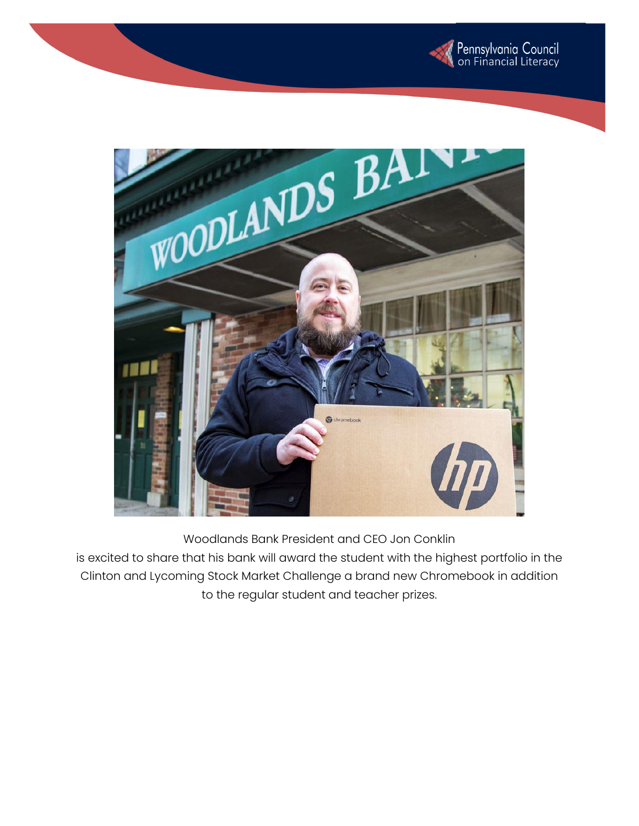



Woodlands Bank President and CEO Jon Conklin

is excited to share that his bank will award the student with the highest portfolio in the Clinton and Lycoming Stock Market Challenge a brand new Chromebook in addition to the regular student and teacher prizes.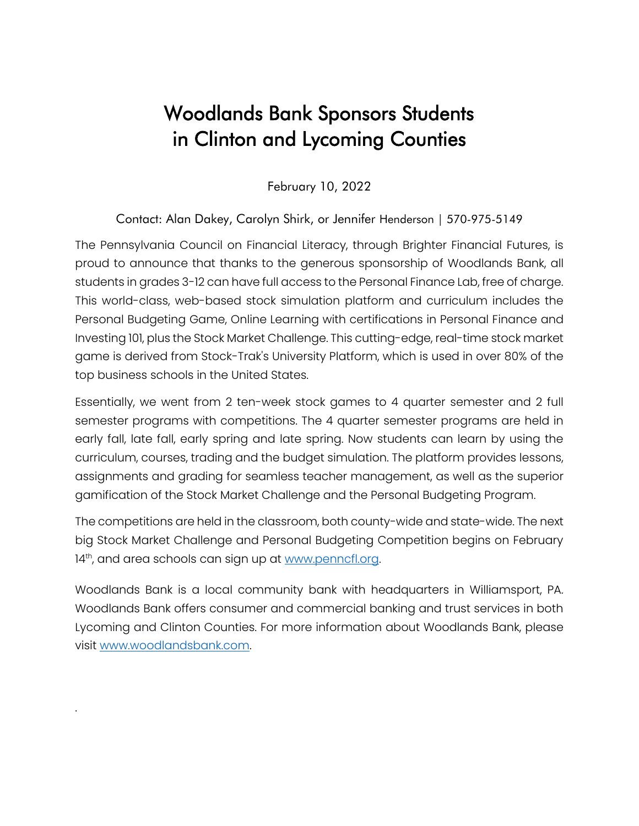## Woodlands Bank Sponsors Students in Clinton and Lycoming Counties

February 10, 2022

## Contact: Alan Dakey, Carolyn Shirk, or Jennifer Henderson | 570-975-5149

The Pennsylvania Council on Financial Literacy, through Brighter Financial Futures, is proud to announce that thanks to the generous sponsorship of Woodlands Bank, all students in grades 3-12 can have full access to the Personal Finance Lab, free of charge. This world-class, web-based stock simulation platform and curriculum includes the Personal Budgeting Game, Online Learning with certifications in Personal Finance and Investing 101, plus the Stock Market Challenge. This cutting-edge, real-time stock market game is derived from Stock-Trak's University Platform, which is used in over 80% of the top business schools in the United States.

Essentially, we went from 2 ten-week stock games to 4 quarter semester and 2 full semester programs with competitions. The 4 quarter semester programs are held in early fall, late fall, early spring and late spring. Now students can learn by using the curriculum, courses, trading and the budget simulation. The platform provides lessons, assignments and grading for seamless teacher management, as well as the superior gamification of the Stock Market Challenge and the Personal Budgeting Program.

The competitions are held in the classroom, both county-wide and state-wide. The next big Stock Market Challenge and Personal Budgeting Competition begins on February 14th, and area schools can sign up at <u>www.penncfl.org</u>.

Woodlands Bank is a local community bank with headquarters in Williamsport, PA. Woodlands Bank offers consumer and commercial banking and trust services in both Lycoming and Clinton Counties. For more information about Woodlands Bank, please visit [www.woodlandsbank.com.](http://www.woodlandsbank.com/)

.